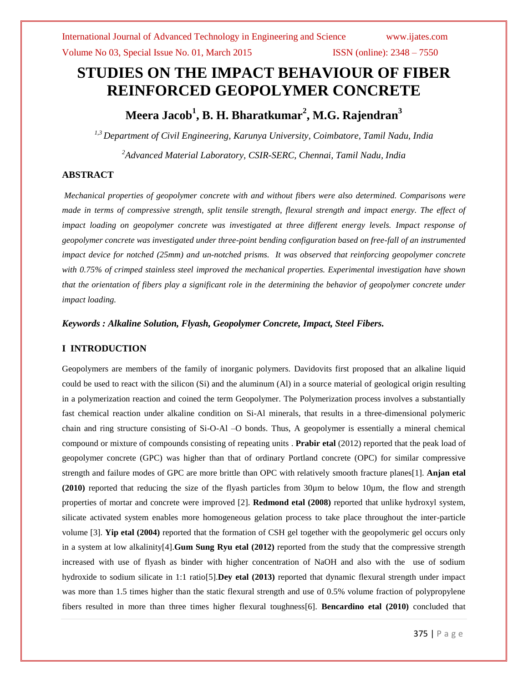# **STUDIES ON THE IMPACT BEHAVIOUR OF FIBER REINFORCED GEOPOLYMER CONCRETE**

# **Meera Jacob<sup>1</sup> , B. H. Bharatkumar<sup>2</sup> , M.G. Rajendran<sup>3</sup>**

*1,3 Department of Civil Engineering, Karunya University, Coimbatore, Tamil Nadu, India <sup>2</sup>Advanced Material Laboratory, CSIR-SERC, Chennai, Tamil Nadu, India*

### **ABSTRACT**

*Mechanical properties of geopolymer concrete with and without fibers were also determined. Comparisons were made in terms of compressive strength, split tensile strength, flexural strength and impact energy. The effect of impact loading on geopolymer concrete was investigated at three different energy levels. Impact response of geopolymer concrete was investigated under three-point bending configuration based on free-fall of an instrumented impact device for notched (25mm) and un-notched prisms. It was observed that reinforcing geopolymer concrete with 0.75% of crimped stainless steel improved the mechanical properties. Experimental investigation have shown that the orientation of fibers play a significant role in the determining the behavior of geopolymer concrete under impact loading.*

*Keywords : Alkaline Solution, Flyash, Geopolymer Concrete, Impact, Steel Fibers.*

### **I INTRODUCTION**

Geopolymers are members of the family of inorganic polymers. Davidovits first proposed that an alkaline liquid could be used to react with the silicon (Si) and the aluminum (Al) in a source material of geological origin resulting in a polymerization reaction and coined the term Geopolymer. The Polymerization process involves a substantially fast chemical reaction under alkaline condition on Si-Al minerals, that results in a three-dimensional polymeric chain and ring structure consisting of Si-O-Al –O bonds. Thus, A geopolymer is essentially a mineral chemical compound or mixture of compounds consisting of repeating units . **Prabir etal** (2012) reported that the peak load of geopolymer concrete (GPC) was higher than that of ordinary Portland concrete (OPC) for similar compressive strength and failure modes of GPC are more brittle than OPC with relatively smooth fracture planes[1]. **Anjan etal (2010)** reported that reducing the size of the flyash particles from 30µm to below 10µm, the flow and strength properties of mortar and concrete were improved [2]. **Redmond etal (2008)** reported that unlike hydroxyl system, silicate activated system enables more homogeneous gelation process to take place throughout the inter-particle volume [3]. **Yip etal (2004)** reported that the formation of CSH gel together with the geopolymeric gel occurs only in a system at low alkalinity[4].**Gum Sung Ryu etal (2012)** reported from the study that the compressive strength increased with use of flyash as binder with higher concentration of NaOH and also with the use of sodium hydroxide to sodium silicate in 1:1 ratio[5].**Dey etal (2013)** reported that dynamic flexural strength under impact was more than 1.5 times higher than the static flexural strength and use of 0.5% volume fraction of polypropylene fibers resulted in more than three times higher flexural toughness[6]. **Bencardino etal (2010)** concluded that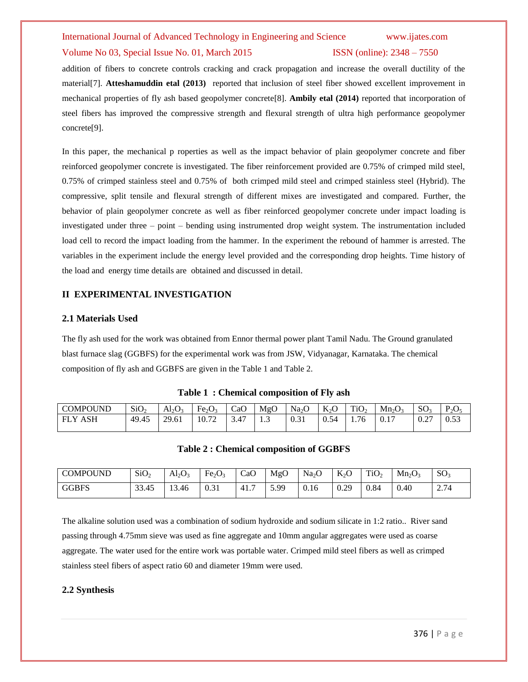#### Volume No 03, Special Issue No. 01, March 2015 **ISSN** (online): 2348 – 7550

addition of fibers to concrete controls cracking and crack propagation and increase the overall ductility of the material[7]. **Atteshamuddin etal (2013)** reported that inclusion of steel fiber showed excellent improvement in mechanical properties of fly ash based geopolymer concrete[8]. **Ambily etal (2014)** reported that incorporation of steel fibers has improved the compressive strength and flexural strength of ultra high performance geopolymer concrete[9].

In this paper, the mechanical p roperties as well as the impact behavior of plain geopolymer concrete and fiber reinforced geopolymer concrete is investigated. The fiber reinforcement provided are 0.75% of crimped mild steel, 0.75% of crimped stainless steel and 0.75% of both crimped mild steel and crimped stainless steel (Hybrid). The compressive, split tensile and flexural strength of different mixes are investigated and compared. Further, the behavior of plain geopolymer concrete as well as fiber reinforced geopolymer concrete under impact loading is investigated under three – point – bending using instrumented drop weight system. The instrumentation included load cell to record the impact loading from the hammer. In the experiment the rebound of hammer is arrested. The variables in the experiment include the energy level provided and the corresponding drop heights. Time history of the load and energy time details are obtained and discussed in detail.

### **II EXPERIMENTAL INVESTIGATION**

#### **2.1 Materials Used**

The fly ash used for the work was obtained from Ennor thermal power plant Tamil Nadu. The Ground granulated blast furnace slag (GGBFS) for the experimental work was from JSW, Vidyanagar, Karnataka. The chemical composition of fly ash and GGBFS are given in the Table 1 and Table 2.

| <b>COMPOUND</b> | SiO <sub>2</sub> | $Al_2O_3$ | Fe <sub>2</sub> O <sub>3</sub> | CaO  | MgO       | $\mathsf{Na}_2$              | $K_2O$<br>$\sim$      | TiO <sub>2</sub> | $Mn_2O_3$ | SO <sub>2</sub>  | $P_2O_5$           |
|-----------------|------------------|-----------|--------------------------------|------|-----------|------------------------------|-----------------------|------------------|-----------|------------------|--------------------|
| ASH<br>FΙ       | 49.45            | 29.61     | $10.7^{\circ}$                 | 3.47 | $\cdot$ . | $\mathbf{A}$<br><u>v. ji</u> | $\Omega$<br>54<br>U.S | $\sim$<br>1.76   | $0.1$ .   | $\Omega$<br>V.Z. | $\epsilon$<br>ບ.ບປ |

### **Table 1 : Chemical composition of Fly ash**

#### **Table 2 : Chemical composition of GGBFS**

| <b>COMPOUND</b> | SiO <sub>2</sub> | $Al_2O_3$ | Fe <sub>2</sub> O <sub>3</sub> | CaO | MgO  | Na <sub>2</sub> O | $K_2O$ | TiO <sub>2</sub> | $Mn_2O_3$ | SO <sub>3</sub> |
|-----------------|------------------|-----------|--------------------------------|-----|------|-------------------|--------|------------------|-----------|-----------------|
| <b>GGBFS</b>    | 33.45            | 13.46     | 0.31                           | 41. | 5.99 | 0.16              | 0.29   | 0.84             | 0.40      | 2.74            |

The alkaline solution used was a combination of sodium hydroxide and sodium silicate in 1:2 ratio.. River sand passing through 4.75mm sieve was used as fine aggregate and 10mm angular aggregates were used as coarse aggregate. The water used for the entire work was portable water. Crimped mild steel fibers as well as crimped stainless steel fibers of aspect ratio 60 and diameter 19mm were used.

### **2.2 Synthesis**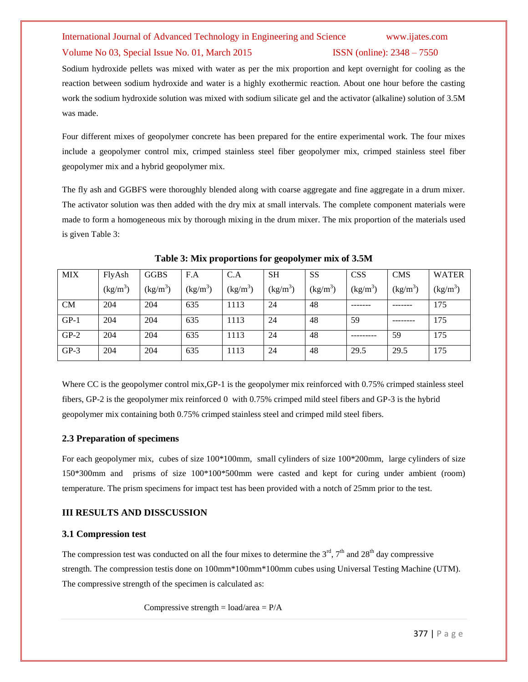#### Volume No 03, Special Issue No. 01, March 2015 **ISSN** (online): 2348 – 7550

Sodium hydroxide pellets was mixed with water as per the mix proportion and kept overnight for cooling as the reaction between sodium hydroxide and water is a highly exothermic reaction. About one hour before the casting work the sodium hydroxide solution was mixed with sodium silicate gel and the activator (alkaline) solution of 3.5M was made.

Four different mixes of geopolymer concrete has been prepared for the entire experimental work. The four mixes include a geopolymer control mix, crimped stainless steel fiber geopolymer mix, crimped stainless steel fiber geopolymer mix and a hybrid geopolymer mix.

The fly ash and GGBFS were thoroughly blended along with coarse aggregate and fine aggregate in a drum mixer. The activator solution was then added with the dry mix at small intervals. The complete component materials were made to form a homogeneous mix by thorough mixing in the drum mixer. The mix proportion of the materials used is given Table 3:

| <b>MIX</b> | FlyAsh     | <b>GGBS</b> | F.A                  | C.A        | <b>SH</b>                      | <b>SS</b>  | <b>CSS</b> | <b>CMS</b> | <b>WATER</b> |
|------------|------------|-------------|----------------------|------------|--------------------------------|------------|------------|------------|--------------|
|            | $(kg/m^3)$ | $(kg/m^3)$  | (kg/m <sup>3</sup> ) | $(kg/m^3)$ | $\frac{\text{kg}}{\text{m}^3}$ | $(kg/m^3)$ | $(kg/m^3)$ | $(kg/m^3)$ | $(kg/m^3)$   |
| <b>CM</b>  | 204        | 204         | 635                  | 1113       | 24                             | 48         |            |            | 175          |
| $GP-1$     | 204        | 204         | 635                  | 1113       | 24                             | 48         | 59         |            | 175          |
| $GP-2$     | 204        | 204         | 635                  | 1113       | 24                             | 48         |            | 59         | 175          |
| $GP-3$     | 204        | 204         | 635                  | 1113       | 24                             | 48         | 29.5       | 29.5       | 175          |

**Table 3: Mix proportions for geopolymer mix of 3.5M**

Where CC is the geopolymer control mix,GP-1 is the geopolymer mix reinforced with 0.75% crimped stainless steel fibers, GP-2 is the geopolymer mix reinforced 0 with 0.75% crimped mild steel fibers and GP-3 is the hybrid geopolymer mix containing both 0.75% crimped stainless steel and crimped mild steel fibers.

### **2.3 Preparation of specimens**

For each geopolymer mix, cubes of size 100\*100mm, small cylinders of size 100\*200mm, large cylinders of size 150\*300mm and prisms of size 100\*100\*500mm were casted and kept for curing under ambient (room) temperature. The prism specimens for impact test has been provided with a notch of 25mm prior to the test.

### **III RESULTS AND DISSCUSSION**

### **3.1 Compression test**

The compression test was conducted on all the four mixes to determine the  $3<sup>rd</sup>$ ,  $7<sup>th</sup>$  and  $28<sup>th</sup>$  day compressive strength. The compression testis done on 100mm\*100mm\*100mm cubes using Universal Testing Machine (UTM). The compressive strength of the specimen is calculated as:

Compressive strength =  $load/area = P/A$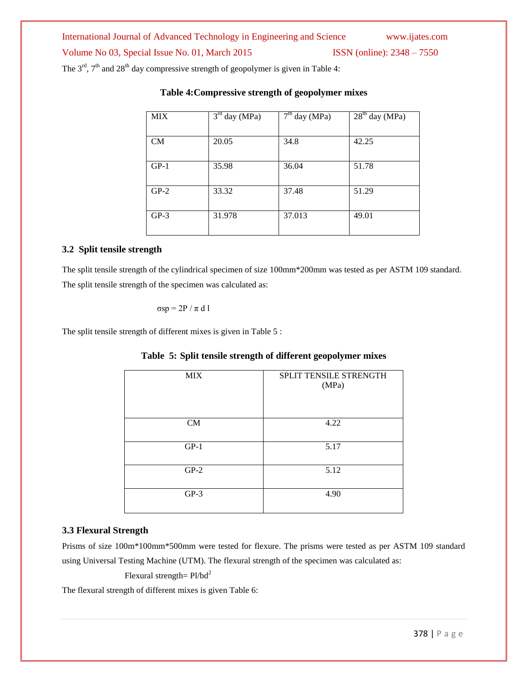International Journal of Advanced Technology in Engineering and Science www.ijates.com Volume No 03, Special Issue No. 01, March 2015 ISSN (online): 2348 – 7550 The  $3<sup>rd</sup>$ ,  $7<sup>th</sup>$  and  $28<sup>th</sup>$  day compressive strength of geopolymer is given in Table 4:

| <b>MIX</b> | $\overline{3}^{\text{rd}}$ day (MPa) | $7th$ day (MPa) | $28th$ day (MPa) |
|------------|--------------------------------------|-----------------|------------------|
| CM         | 20.05                                | 34.8            | 42.25            |
| $GP-1$     | 35.98                                | 36.04           | 51.78            |
| $GP-2$     | 33.32                                | 37.48           | 51.29            |
| $GP-3$     | 31.978                               | 37.013          | 49.01            |

# **Table 4:Compressive strength of geopolymer mixes**

### **3.2 Split tensile strength**

The split tensile strength of the cylindrical specimen of size 100mm\*200mm was tested as per ASTM 109 standard. The split tensile strength of the specimen was calculated as:

σsp = 2P / π d l

The split tensile strength of different mixes is given in Table 5 :

|  |  |  | Table 5: Split tensile strength of different geopolymer mixes |  |  |
|--|--|--|---------------------------------------------------------------|--|--|
|  |  |  |                                                               |  |  |

| <b>MIX</b> | SPLIT TENSILE STRENGTH<br>(MPa) |
|------------|---------------------------------|
| CM         | 4.22                            |
| $GP-1$     | 5.17                            |
| $GP-2$     | 5.12                            |
| $GP-3$     | 4.90                            |

### **3.3 Flexural Strength**

Prisms of size 100m\*100mm\*500mm were tested for flexure. The prisms were tested as per ASTM 109 standard using Universal Testing Machine (UTM). The flexural strength of the specimen was calculated as:

Flexural strength=  $Pl/bd^2$ 

The flexural strength of different mixes is given Table 6: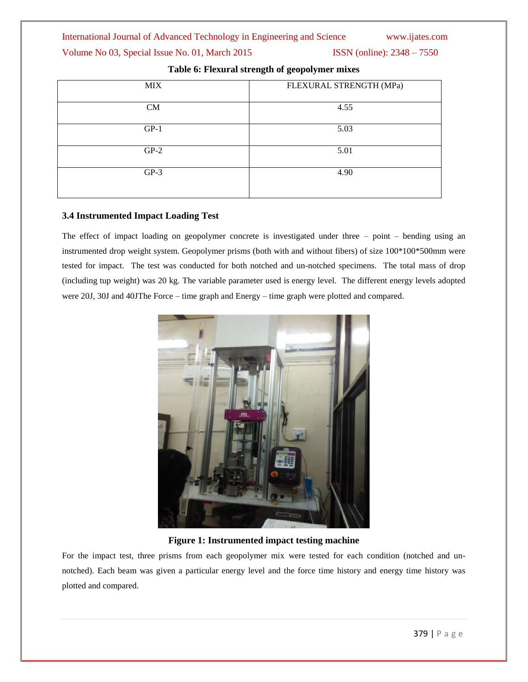### Volume No 03, Special Issue No. 01, March 2015 ISSN (online): 2348 – 7550

| <b>MIX</b> | FLEXURAL STRENGTH (MPa) |
|------------|-------------------------|
| CM         | 4.55                    |
| $GP-1$     | 5.03                    |
| $GP-2$     | 5.01                    |
| $GP-3$     | 4.90                    |

# **Table 6: Flexural strength of geopolymer mixes**

# **3.4 Instrumented Impact Loading Test**

The effect of impact loading on geopolymer concrete is investigated under three – point – bending using an instrumented drop weight system. Geopolymer prisms (both with and without fibers) of size 100\*100\*500mm were tested for impact. The test was conducted for both notched and un-notched specimens. The total mass of drop (including tup weight) was 20 kg. The variable parameter used is energy level. The different energy levels adopted were 20J, 30J and 40JThe Force – time graph and Energy – time graph were plotted and compared.



**Figure 1: Instrumented impact testing machine**

For the impact test, three prisms from each geopolymer mix were tested for each condition (notched and unnotched). Each beam was given a particular energy level and the force time history and energy time history was plotted and compared.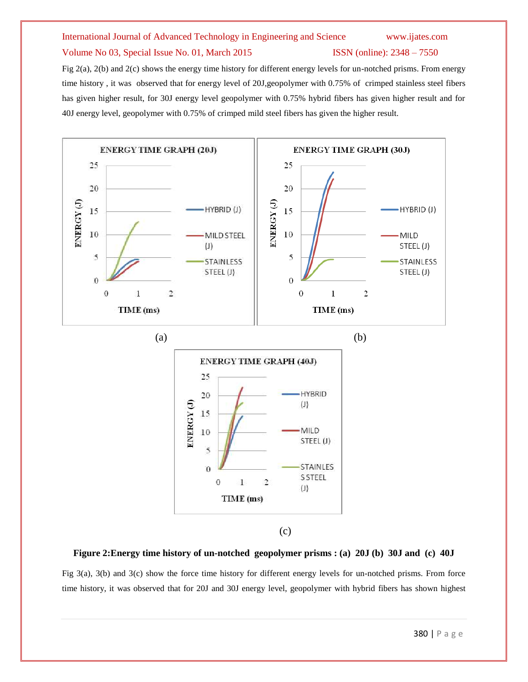#### Volume No 03, Special Issue No. 01, March 2015 ISSN (online): 2348 – 7550

Fig 2(a), 2(b) and 2(c) shows the energy time history for different energy levels for un-notched prisms. From energy time history , it was observed that for energy level of 20J,geopolymer with 0.75% of crimped stainless steel fibers has given higher result, for 30J energy level geopolymer with 0.75% hybrid fibers has given higher result and for 40J energy level, geopolymer with 0.75% of crimped mild steel fibers has given the higher result.



Fig 3(a), 3(b) and 3(c) show the force time history for different energy levels for un-notched prisms. From force time history, it was observed that for 20J and 30J energy level, geopolymer with hybrid fibers has shown highest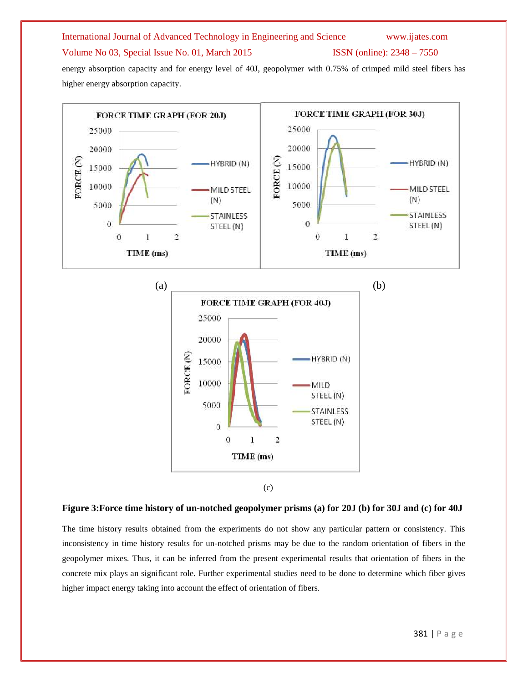### Volume No 03, Special Issue No. 01, March 2015 ISSN (online): 2348 – 7550

energy absorption capacity and for energy level of 40J, geopolymer with 0.75% of crimped mild steel fibers has higher energy absorption capacity.



### **Figure 3:Force time history of un-notched geopolymer prisms (a) for 20J (b) for 30J and (c) for 40J**

The time history results obtained from the experiments do not show any particular pattern or consistency. This inconsistency in time history results for un-notched prisms may be due to the random orientation of fibers in the geopolymer mixes. Thus, it can be inferred from the present experimental results that orientation of fibers in the concrete mix plays an significant role. Further experimental studies need to be done to determine which fiber gives higher impact energy taking into account the effect of orientation of fibers.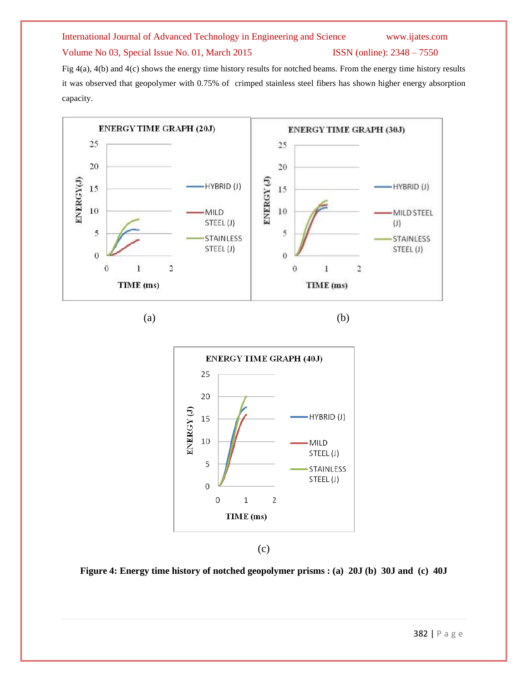### Volume No 03, Special Issue No. 01, March 2015 ISSN (online): 2348 – 7550

Fig 4(a), 4(b) and 4(c) shows the energy time history results for notched beams. From the energy time history results it was observed that geopolymer with 0.75% of crimped stainless steel fibers has shown higher energy absorption capacity.





(c)

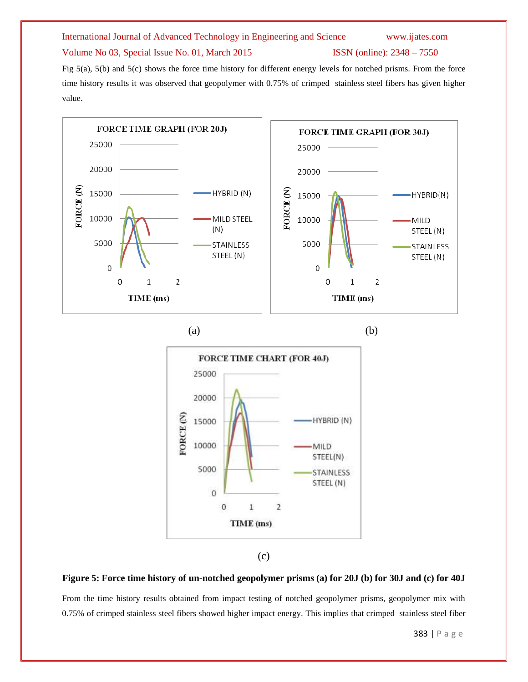### Volume No 03, Special Issue No. 01, March 2015 ISSN (online): 2348 – 7550

Fig 5(a), 5(b) and 5(c) shows the force time history for different energy levels for notched prisms. From the force time history results it was observed that geopolymer with 0.75% of crimped stainless steel fibers has given higher value.











### **Figure 5: Force time history of un-notched geopolymer prisms (a) for 20J (b) for 30J and (c) for 40J**

From the time history results obtained from impact testing of notched geopolymer prisms, geopolymer mix with 0.75% of crimped stainless steel fibers showed higher impact energy. This implies that crimped stainless steel fiber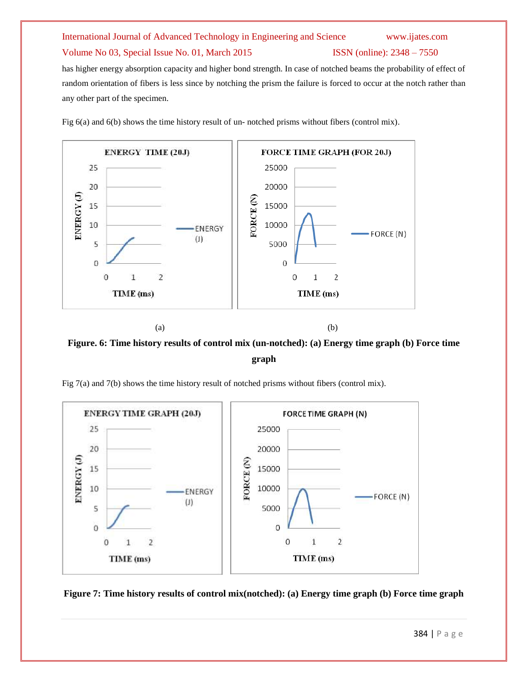### Volume No 03, Special Issue No. 01, March 2015 ISSN (online): 2348 – 7550

has higher energy absorption capacity and higher bond strength. In case of notched beams the probability of effect of random orientation of fibers is less since by notching the prism the failure is forced to occur at the notch rather than any other part of the specimen.

Fig 6(a) and 6(b) shows the time history result of un- notched prisms without fibers (control mix).



**Figure. 6: Time history results of control mix (un-notched): (a) Energy time graph (b) Force time graph**

Fig 7(a) and 7(b) shows the time history result of notched prisms without fibers (control mix).



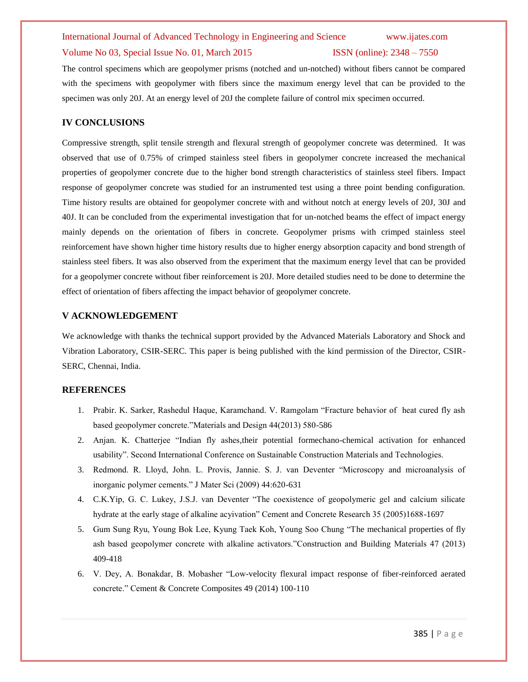#### Volume No 03, Special Issue No. 01, March 2015 ISSN (online): 2348 – 7550

The control specimens which are geopolymer prisms (notched and un-notched) without fibers cannot be compared with the specimens with geopolymer with fibers since the maximum energy level that can be provided to the specimen was only 20J. At an energy level of 20J the complete failure of control mix specimen occurred.

### **IV CONCLUSIONS**

Compressive strength, split tensile strength and flexural strength of geopolymer concrete was determined. It was observed that use of 0.75% of crimped stainless steel fibers in geopolymer concrete increased the mechanical properties of geopolymer concrete due to the higher bond strength characteristics of stainless steel fibers. Impact response of geopolymer concrete was studied for an instrumented test using a three point bending configuration. Time history results are obtained for geopolymer concrete with and without notch at energy levels of 20J, 30J and 40J. It can be concluded from the experimental investigation that for un-notched beams the effect of impact energy mainly depends on the orientation of fibers in concrete. Geopolymer prisms with crimped stainless steel reinforcement have shown higher time history results due to higher energy absorption capacity and bond strength of stainless steel fibers. It was also observed from the experiment that the maximum energy level that can be provided for a geopolymer concrete without fiber reinforcement is 20J. More detailed studies need to be done to determine the effect of orientation of fibers affecting the impact behavior of geopolymer concrete.

### **V ACKNOWLEDGEMENT**

We acknowledge with thanks the technical support provided by the Advanced Materials Laboratory and Shock and Vibration Laboratory, CSIR-SERC. This paper is being published with the kind permission of the Director, CSIR-SERC, Chennai, India.

#### **REFERENCES**

- 1. Prabir. K. Sarker, Rashedul Haque, Karamchand. V. Ramgolam "Fracture behavior of heat cured fly ash based geopolymer concrete."Materials and Design 44(2013) 580-586
- 2. Anjan. K. Chatterjee "Indian fly ashes,their potential formechano-chemical activation for enhanced usability". Second International Conference on Sustainable Construction Materials and Technologies.
- 3. Redmond. R. Lloyd, John. L. Provis, Jannie. S. J. van Deventer "Microscopy and microanalysis of inorganic polymer cements." J Mater Sci (2009) 44:620-631
- 4. C.K.Yip, G. C. Lukey, J.S.J. van Deventer "The coexistence of geopolymeric gel and calcium silicate hydrate at the early stage of alkaline acyivation" Cement and Concrete Research 35 (2005)1688-1697
- 5. Gum Sung Ryu, Young Bok Lee, Kyung Taek Koh, Young Soo Chung "The mechanical properties of fly ash based geopolymer concrete with alkaline activators."Construction and Building Materials 47 (2013) 409-418
- 6. V. Dey, A. Bonakdar, B. Mobasher "Low-velocity flexural impact response of fiber-reinforced aerated concrete." Cement & Concrete Composites 49 (2014) 100-110